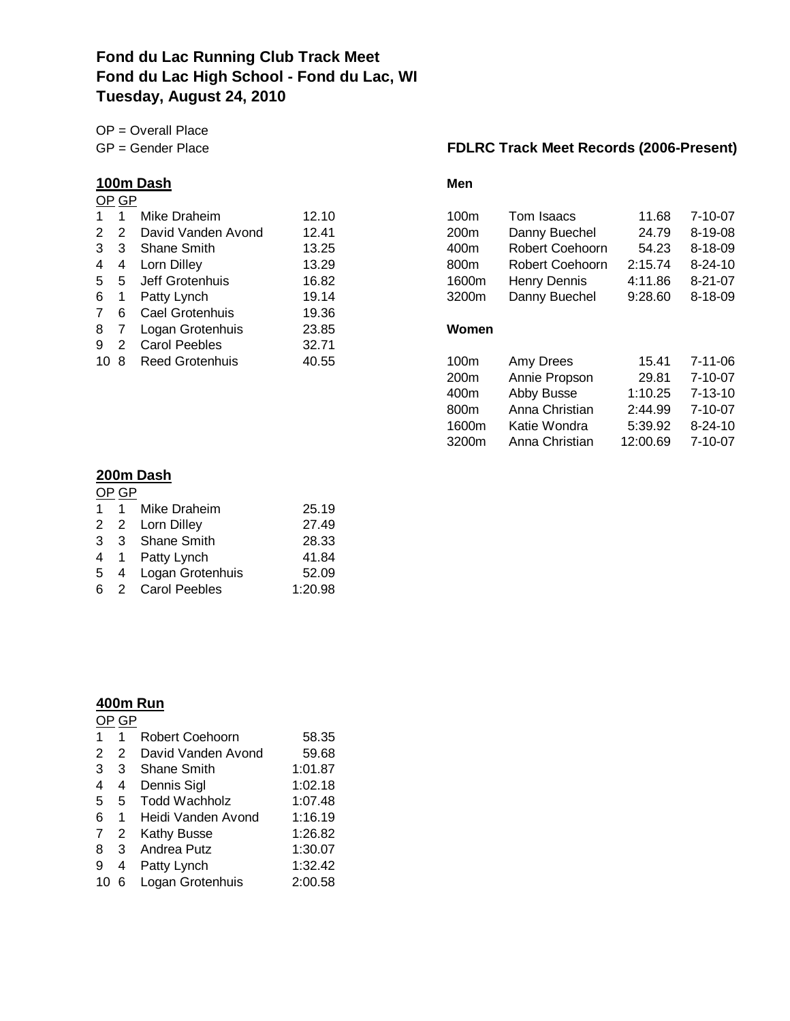## **Fond du Lac Running Club Track Meet Fond du Lac High School - Fond du Lac, WI Tuesday, August 24, 2010**

OP = Overall Place

## **100m Dash**

## OP GP

| $\mathbf 1$     | 1            | Mike Draheim           | 12.10 | 100m             |
|-----------------|--------------|------------------------|-------|------------------|
|                 |              | 2 2 David Vanden Avond | 12.41 | 200 <sub>m</sub> |
| 3               | $\mathbf{3}$ | <b>Shane Smith</b>     | 13.25 | 400m             |
| 4               | 4            | Lorn Dilley            | 13.29 | 800m             |
|                 | 5 5          | Jeff Grotenhuis        | 16.82 | 1600m            |
| 6 1             |              | Patty Lynch            | 19.14 | 3200m            |
| $7^{\circ}$     | 6            | Cael Grotenhuis        | 19.36 |                  |
| 8               | 7            | Logan Grotenhuis       | 23.85 | Women            |
| 9               | 2            | <b>Carol Peebles</b>   | 32.71 |                  |
| 10 <sub>8</sub> |              | Reed Grotenhuis        | 40.55 | 100m             |
|                 |              |                        |       | 200m             |

### **200m Dash**

| OP GP |                    |         |
|-------|--------------------|---------|
|       | 1 1 Mike Draheim   | 25.19   |
|       | 2 2 Lorn Dilley    | 27.49   |
|       | 3 3 Shane Smith    | 28.33   |
|       | 4 1 Patty Lynch    | 41.84   |
| 5     | 4 Logan Grotenhuis | 52.09   |
|       | 6 2 Carol Peebles  | 1:20.98 |
|       |                    |         |

### **400m Run**

|    | GP |                      |         |
|----|----|----------------------|---------|
| 1  | 1  | Robert Coehoorn      | 58.35   |
| 2  | 2  | David Vanden Avond   | 59.68   |
| 3  | 3  | Shane Smith          | 1:01.87 |
| 4  | 4  | Dennis Sigl          | 1:02.18 |
| 5  | 5  | <b>Todd Wachholz</b> | 1:07.48 |
| 6  | 1  | Heidi Vanden Avond   | 1:16.19 |
| 7  | 2  | <b>Kathy Busse</b>   | 1:26.82 |
| 8  | 3  | Andrea Putz          | 1:30.07 |
| 9  | 4  | Patty Lynch          | 1:32.42 |
| 10 | 6  | Logan Grotenhuis     | 2:00.58 |
|    |    |                      |         |

## GP = Gender Place **FDLRC Track Meet Records (2006-Present)**

| 1 $\overline{ }$ |   | Mike Draheim           | 12.10 | 100m             | Tom Isaacs      | 11.68    | $7 - 10 - 07$ |
|------------------|---|------------------------|-------|------------------|-----------------|----------|---------------|
| 22               |   | David Vanden Avond     | 12.41 | 200 <sub>m</sub> | Danny Buechel   | 24.79    | 8-19-08       |
| 3 <sup>3</sup>   |   | <b>Shane Smith</b>     | 13.25 | 400m             | Robert Coehoorn | 54.23    | 8-18-09       |
| 4                | 4 | Lorn Dilley            | 13.29 | 800m             | Robert Coehoorn | 2:15.74  | $8 - 24 - 10$ |
| 55               |   | Jeff Grotenhuis        | 16.82 | 1600m            | Henry Dennis    | 4:11.86  | $8 - 21 - 07$ |
| 6.               |   | Patty Lynch            | 19.14 | 3200m            | Danny Buechel   | 9:28.60  | 8-18-09       |
| 76               |   | Cael Grotenhuis        | 19.36 |                  |                 |          |               |
| 87               |   | Logan Grotenhuis       | 23.85 | Women            |                 |          |               |
| 92               |   | <b>Carol Peebles</b>   | 32.71 |                  |                 |          |               |
| 10 8             |   | <b>Reed Grotenhuis</b> | 40.55 | 100 <sub>m</sub> | Amy Drees       | 15.41    | $7 - 11 - 06$ |
|                  |   |                        |       | 200 <sub>m</sub> | Annie Propson   | 29.81    | $7 - 10 - 07$ |
|                  |   |                        |       | 400m             | Abby Busse      | 1:10.25  | $7 - 13 - 10$ |
|                  |   |                        |       | 800 <sub>m</sub> | Anna Christian  | 2:44.99  | $7 - 10 - 07$ |
|                  |   |                        |       | 1600m            | Katie Wondra    | 5:39.92  | $8 - 24 - 10$ |
|                  |   |                        |       | 3200m            | Anna Christian  | 12:00.69 | $7 - 10 - 07$ |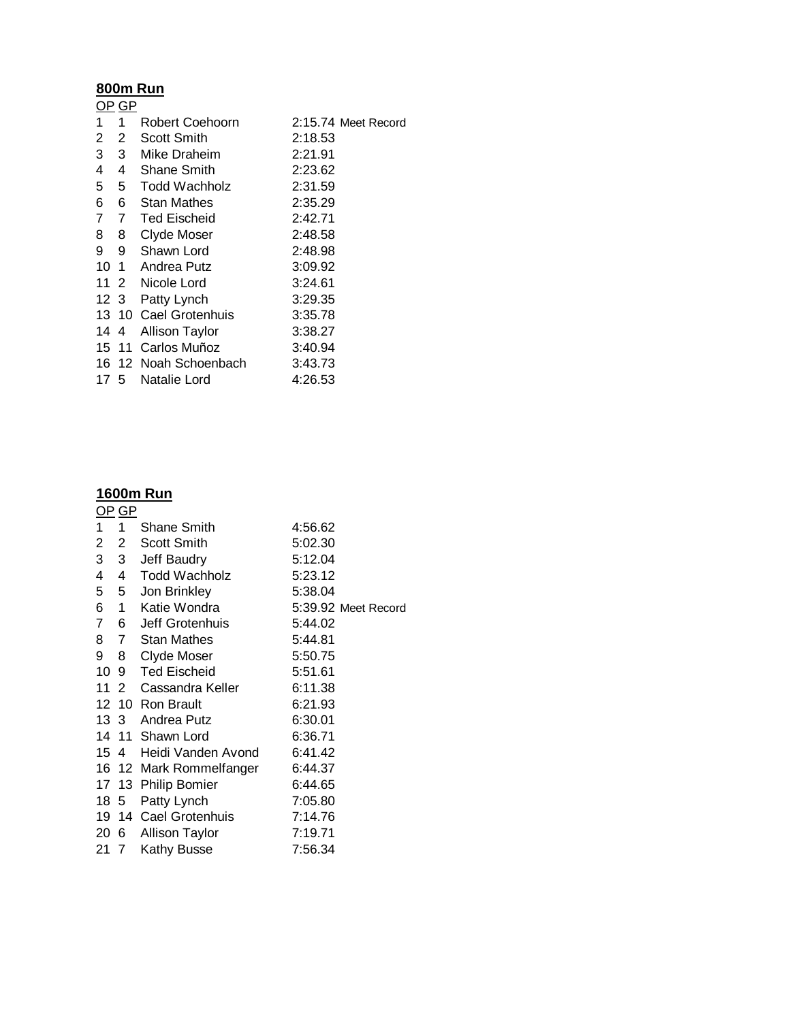#### **800m Run** OP GP

|      | סט יוט         |                       |                     |
|------|----------------|-----------------------|---------------------|
| 1    | 1.             | Robert Coehoorn       | 2:15.74 Meet Record |
| 2    | 2              | Scott Smith           | 2:18.53             |
| 3    | 3 <sup>1</sup> | Mike Draheim          | 2:21.91             |
| 4    | 4              | <b>Shane Smith</b>    | 2:23.62             |
| 5    | 5              | Todd Wachholz         | 2:31.59             |
| 6    | 6.             | <b>Stan Mathes</b>    | 2:35.29             |
| 7    | $7^{\circ}$    | <b>Ted Eischeid</b>   | 2:42.71             |
| 8    | 8              | Clyde Moser           | 2:48.58             |
| 9    | 9              | Shawn Lord            | 2:48.98             |
|      |                | 10 1 Andrea Putz      | 3:09.92             |
|      |                | 11 2 Nicole Lord      | 3:24.61             |
|      | 12 3           | Patty Lynch           | 3:29.35             |
|      |                | 13 10 Cael Grotenhuis | 3:35.78             |
| 1444 |                | <b>Allison Taylor</b> | 3:38.27             |
|      |                | 15 11 Carlos Muñoz    | 3:40.94             |
|      |                | 16 12 Noah Schoenbach | 3:43.73             |
| 175  |                | Natalie Lord          | 4:26.53             |
|      |                |                       |                     |

## **1600m Run**

| <u>OP GP</u>   |                |                         |                     |  |
|----------------|----------------|-------------------------|---------------------|--|
| 1              | $\mathbf 1$    | Shane Smith             | 4:56.62             |  |
| 2              | $2 -$          | Scott Smith             | 5:02.30             |  |
| 3 <sup>7</sup> | 3 <sup>7</sup> | Jeff Baudry             | 5:12.04             |  |
| 4              |                | 4 Todd Wachholz         | 5:23.12             |  |
|                | 5 5            | Jon Brinkley            | 5:38.04             |  |
|                |                | 6 1 Katie Wondra        | 5:39.92 Meet Record |  |
|                |                | 7 6 Jeff Grotenhuis     | 5:44.02             |  |
|                |                | 8 7 Stan Mathes         | 5:44.81             |  |
| 9              | 8              | Clyde Moser             | 5:50.75             |  |
|                |                | 10 9 Ted Eischeid       | 5:51.61             |  |
|                |                | 11 2 Cassandra Keller   | 6:11.38             |  |
|                |                | 12 10 Ron Brault        | 6:21.93             |  |
|                |                | 13 3 Andrea Putz        | 6:30.01             |  |
|                |                | 14 11 Shawn Lord        | 6:36.71             |  |
|                | 154            | Heidi Vanden Avond      | 6:41.42             |  |
|                |                | 16 12 Mark Rommelfanger | 6:44.37             |  |
|                |                | 17 13 Philip Bomier     | 6:44.65             |  |
|                | 185            | Patty Lynch             | 7:05.80             |  |
|                |                | 19 14 Cael Grotenhuis   | 7:14.76             |  |
|                | 20 6           | <b>Allison Taylor</b>   | 7:19.71             |  |
|                | 21 7           | Kathy Busse             | 7:56.34             |  |